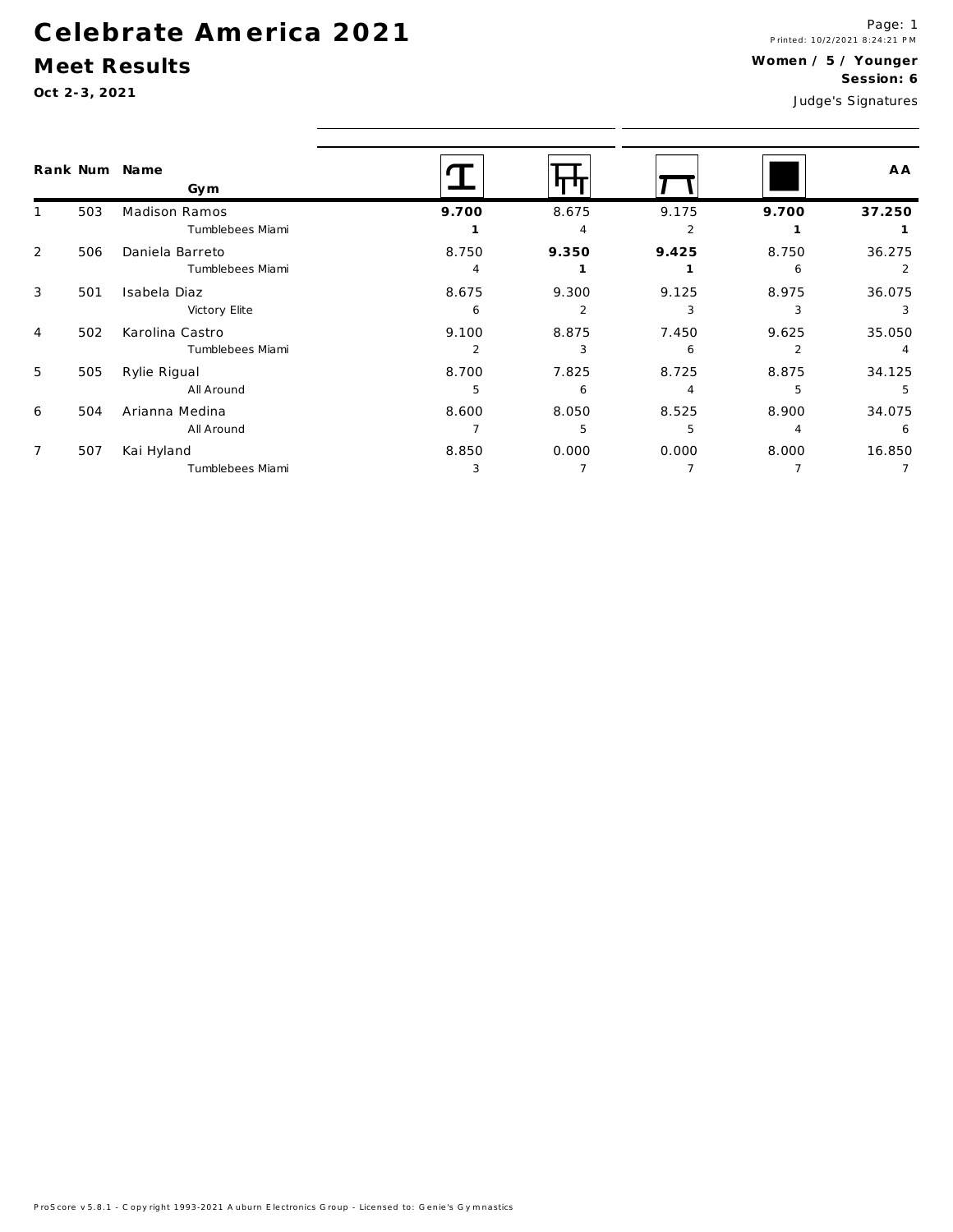# Celebrate America 2021

#### Meet Results

Oct 2-3, 2021

Page: 1<br>Printed: 10/2/2021 8:24:21 PM Women / 5 / Younger Session: 6 Judge's Signatures

|                | Rank Num | Name<br>Gym                         |                         |                         |                                   |            | A A         |
|----------------|----------|-------------------------------------|-------------------------|-------------------------|-----------------------------------|------------|-------------|
| 1              | 503      | Madison Ramos<br>Tumblebees Miami   | 9.700                   | 8.675<br>$\overline{A}$ | 9.175<br>$\overline{\phantom{a}}$ | 9.700      | 37.250      |
| 2              | 506      | Daniela Barreto<br>Tumblebees Miami | 8.750<br>$\overline{4}$ | 9.350                   | 9.425                             | 8.750<br>6 | 36.275<br>2 |
| 3              | 501      | Isabela Diaz<br>Victory Elite       | 8.675<br>6              | 9.300<br>2              | 9.125<br>3                        | 8.975<br>3 | 36.075<br>3 |
| 4              | 502      | Karolina Castro<br>Tumblebees Miami | 9.100<br>$\overline{2}$ | 8.875<br>3              | 7.450<br>6                        | 9.625      | 35.050      |
| 5              | 505      | Rylie Rigual<br>All Around          | 8.700<br>5              | 7.825<br>6              | 8.725<br>4                        | 8.875<br>5 | 34.125<br>5 |
| 6              | 504      | Arianna Medina<br>All Around        | 8.600                   | 8.050<br>5              | 8.525<br>5                        | 8.900<br>4 | 34.075<br>6 |
| $\overline{7}$ | 507      | Kai Hyland<br>Tumblebees Miami      | 8.850<br>3              | 0.000                   | 0.000                             | 8.000      | 16.850      |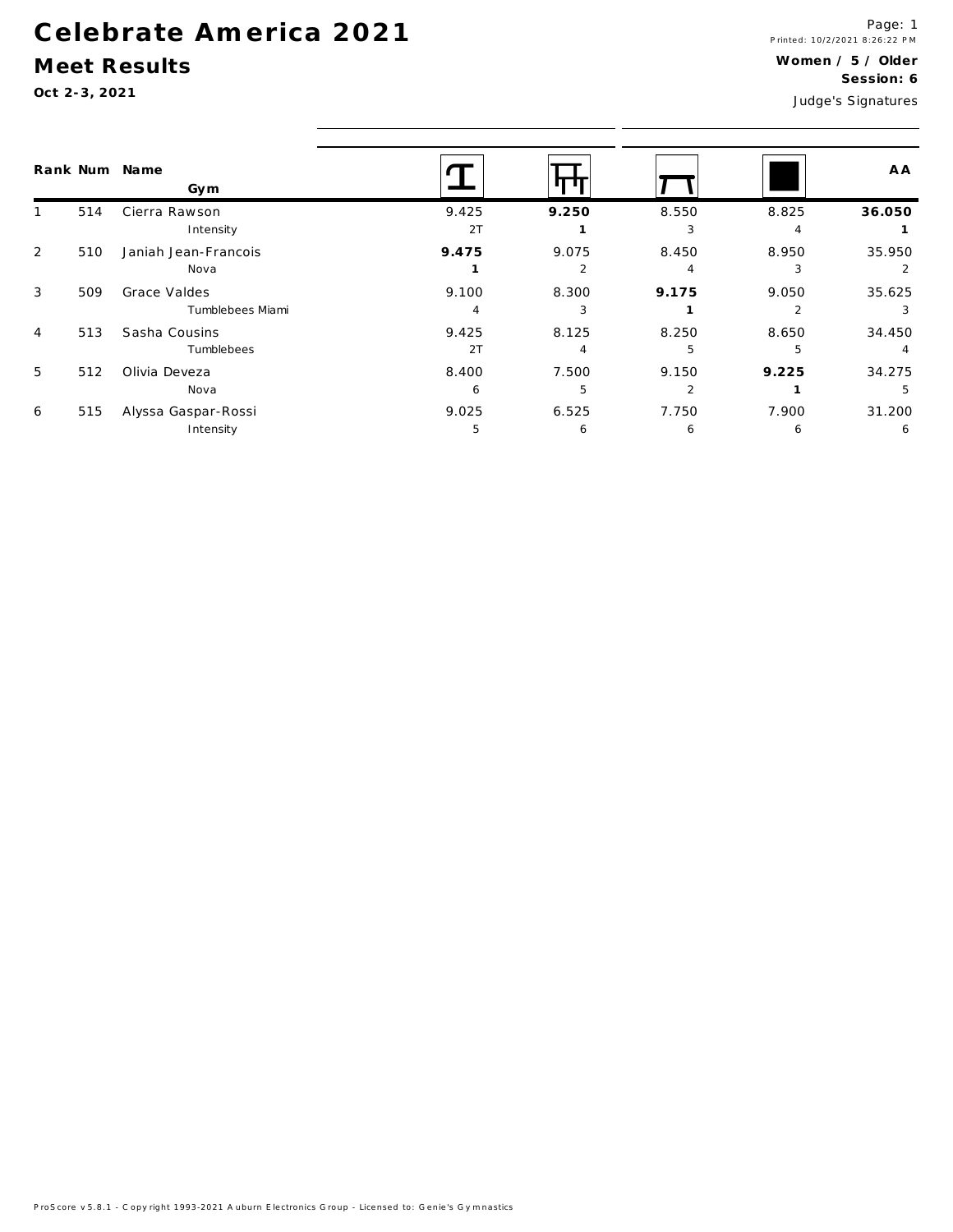## Celebrate America 2021

#### Meet Results

Oct 2-3, 2021

|                |     | Rank Num Name<br>Gym             |             |                         |            |            | A A         |
|----------------|-----|----------------------------------|-------------|-------------------------|------------|------------|-------------|
|                | 514 | Cierra Rawson<br>Intensity       | 9.425<br>2T | 9.250                   | 8.550<br>3 | 8.825<br>4 | 36.050      |
| 2              | 510 | Janiah Jean-Francois<br>Nova     | 9.475       | 9.075<br>$\mathfrak{p}$ | 8.450<br>Δ | 8.950<br>3 | 35.950      |
| 3              | 509 | Grace Valdes<br>Tumblebees Miami | 9.100       | 8.300                   | 9.175      | 9.050      | 35.625      |
| $\overline{4}$ | 513 | Sasha Cousins<br>Tumblebees      | 9.425<br>2T | 8.125                   | 8.250<br>5 | 8.650<br>5 | 34.450      |
| 5              | 512 | Olivia Deveza<br>Nova            | 8.400<br>6  | 7.500<br>5              | 9.150      | 9.225      | 34.275      |
| 6              | 515 | Alyssa Gaspar-Rossi<br>Intensity | 9.025<br>5  | 6.525<br>6              | 7.750<br>6 | 7.900<br>6 | 31.200<br>6 |